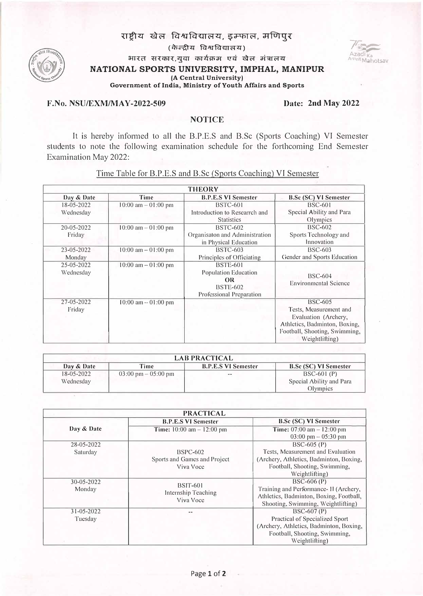## राष्ट्रीय खेल विश्वविद्यालय, इम्फाल, मणिपुर

(c);-�� Fct>i:TFctm��) **7f:.,...... /';�** 



**भारत सरकार, युवा कार्यक्रम एवं खेल मंत्रालय NATIONAL SPORTS UNIVERSITY, IMPHAL, MANIPUR** 

**(A Central University)**

**Government of India, Ministry of Youth Affairs and Sports**

# **F.No. NSU/EXM/MAY-2022-509 Date: 2nd May 2022**

Azadi<sub>k</sub>,

**A,"nt M ahotsav**

### **NOTICE**

It is hereby informed to all the B.P.E.S and B.Sc (Sports Coaching) VI Semester students to note the following examination schedule for the forthcoming End Semester Examination May 2022:

|                         | <b>THEORY</b>          |                                                                                                     |                                                                                                                                                      |  |  |
|-------------------------|------------------------|-----------------------------------------------------------------------------------------------------|------------------------------------------------------------------------------------------------------------------------------------------------------|--|--|
| Day & Date              | Time                   | <b>B.P.E.S VI Semester</b>                                                                          | <b>B.Sc (SC) VI Semester</b>                                                                                                                         |  |  |
| 18-05-2022              | $10:00$ am $-01:00$ pm | <b>BSTC-601</b>                                                                                     | <b>BSC-601</b>                                                                                                                                       |  |  |
| Wednesday               |                        | Introduction to Researrch and                                                                       | Special Ability and Para                                                                                                                             |  |  |
|                         |                        | <b>Statistics</b>                                                                                   | Olympics                                                                                                                                             |  |  |
| 20-05-2022              | $10:00$ am $-01:00$ pm | <b>BSTC-602</b>                                                                                     | <b>BSC-602</b>                                                                                                                                       |  |  |
| Friday                  |                        | Organisaton and Administration                                                                      | Sports Technology and                                                                                                                                |  |  |
|                         |                        | in Physical Education                                                                               | Innovation                                                                                                                                           |  |  |
| 23-05-2022              | $10:00$ am $-01:00$ pm | <b>BSTC-603</b>                                                                                     | <b>BSC-603</b>                                                                                                                                       |  |  |
| Monday                  |                        | Principles of Officiating                                                                           | Gender and Sports Education                                                                                                                          |  |  |
| 25-05-2022<br>Wednesday | $10:00$ am $-01:00$ pm | <b>BSTE-601</b><br>Population Education<br><b>OR</b><br><b>BSTE-602</b><br>Professional Preparation | <b>BSC-604</b><br><b>Environmental Science</b>                                                                                                       |  |  |
| 27-05-2022<br>Friday    | $10:00$ am $-01:00$ pm |                                                                                                     | <b>BSC-605</b><br>Tests, Measurement and<br>Evaluation (Archery,<br>Athletics, Badminton, Boxing,<br>Football, Shooting, Swimming,<br>Weightlifting) |  |  |

Time Table for B.P.E.S and B.Sc (Sports Coaching) VI Semester

| <b>LAB PRACTICAL</b> |                                       |                            |                              |  |  |
|----------------------|---------------------------------------|----------------------------|------------------------------|--|--|
| Day & Date           | Time                                  | <b>B.P.E.S VI Semester</b> | <b>B.Sc (SC) VI Semester</b> |  |  |
| 18-05-2022           | $03:00 \text{ pm} - 05:00 \text{ pm}$ | $\sim$ $\sim$              | $BSC-601(P)$                 |  |  |
| Wednesday            |                                       |                            | Special Ability and Para     |  |  |
|                      |                                       |                            | Olympics                     |  |  |

| <b>PRACTICAL</b> |                                      |                                         |  |  |
|------------------|--------------------------------------|-----------------------------------------|--|--|
|                  | <b>B.P.E.S VI Semester</b>           | <b>B.Sc (SC) VI Semester</b>            |  |  |
| Day & Date       | <b>Time:</b> $10:00$ am $- 12:00$ pm | <b>Time:</b> $07:00$ am $-12:00$ pm     |  |  |
|                  |                                      | $03:00 \text{ pm} - 05:30 \text{ pm}$   |  |  |
| $28 - 05 - 2022$ |                                      | BSC-605 (P)                             |  |  |
| Saturday         | $BSPC-602$                           | Tests, Measurement and Evaluation       |  |  |
|                  | Sports and Games and Project         | (Archery, Athletics, Badminton, Boxing, |  |  |
|                  | Viva Voce                            | Football, Shooting, Swimming,           |  |  |
|                  |                                      | Weightlifting)                          |  |  |
| 30-05-2022       | <b>BSIT-601</b>                      | $BSC-606(P)$                            |  |  |
| Monday           | Internship Teaching                  | Training and Performance- II (Archery,  |  |  |
|                  | Viva Voce                            | Athletics, Badminton, Boxing, Football, |  |  |
|                  |                                      | Shooting, Swimming, Weightlifting)      |  |  |
| $31 - 05 - 2022$ |                                      | $BSC-607(P)$                            |  |  |
| Tuesday          |                                      | <b>Practical of Specialized Sport</b>   |  |  |
|                  |                                      | (Archery, Athletics, Badminton, Boxing, |  |  |
|                  |                                      | Football, Shooting, Swimming,           |  |  |
|                  |                                      | Weightlifting)                          |  |  |